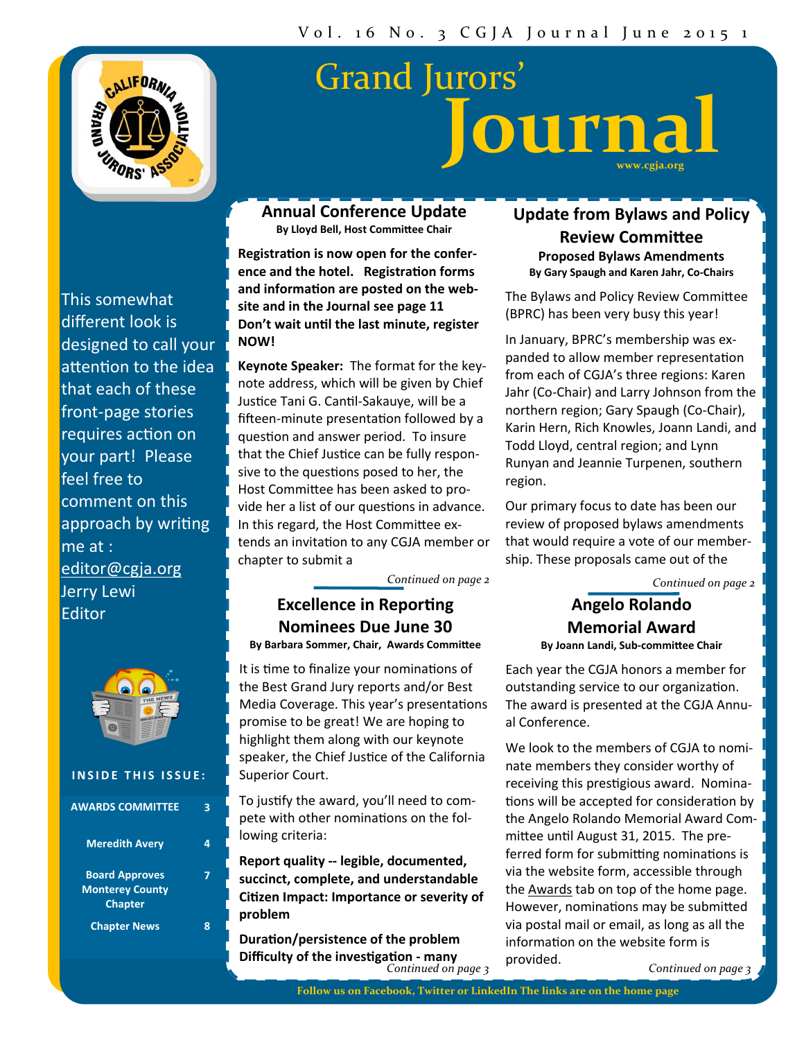

# **www.cgja.org Journal** Grand Jurors'

This somewhat different look is designed to call your attention to the idea that each of these front‐page stories requires action on your part! Please feel free to comment on this approach by writing me at : editor@cgja.org Jerry Lewi Editor



#### **INSIDE THIS ISSUE:**

| <b>AWARDS COMMITTEE</b>                                           |  |
|-------------------------------------------------------------------|--|
| <b>Meredith Avery</b>                                             |  |
| <b>Board Approves</b><br><b>Monterey County</b><br><b>Chapter</b> |  |
| <b>Chapter News</b>                                               |  |

**Annual Conference Update By Lloyd Bell, Host CommiƩee Chair**

**RegistraƟon is now open for the conference and the hotel. RegistraƟon forms and informaƟon are posted on the website and in the Journal see page 11 Don't wait unƟl the last minute, register NOW!**

**Keynote Speaker:** The format for the keynote address, which will be given by Chief Justice Tani G. Cantil-Sakauye, will be a fifteen-minute presentation followed by a question and answer period. To insure that the Chief Justice can be fully responsive to the questions posed to her, the Host Committee has been asked to provide her a list of our questions in advance. In this regard, the Host Committee extends an invitation to any CGJA member or chapter to submit a

*Continued on page 2*

### **Excellence in Reporting Nominees Due June 30**

**By Barbara Sommer, Chair, Awards CommiƩee**

It is time to finalize your nominations of the Best Grand Jury reports and/or Best Media Coverage. This year's presentations promise to be great! We are hoping to highlight them along with our keynote speaker, the Chief Justice of the California Superior Court.

To justify the award, you'll need to compete with other nominations on the following criteria:

**Report quality -- legible, documented, succinct, complete, and understandable CiƟzen Impact: Importance or severity of problem**

*Continued on page 3* **DuraƟon/persistence of the problem Difficulty of the invesƟgaƟon - many**

### **Update from Bylaws and Policy Review CommiƩee Proposed Bylaws Amendments By Gary Spaugh and Karen Jahr, Co-Chairs**

The Bylaws and Policy Review Committee (BPRC) has been very busy this year!

In January, BPRC's membership was ex‐ panded to allow member representation from each of CGJA's three regions: Karen Jahr (Co‐Chair) and Larry Johnson from the northern region; Gary Spaugh (Co‐Chair), Karin Hern, Rich Knowles, Joann Landi, and Todd Lloyd, central region; and Lynn Runyan and Jeannie Turpenen, southern region.

Our primary focus to date has been our review of proposed bylaws amendments that would require a vote of our member‐ ship. These proposals came out of the

*Continued on page 2*

### **Angelo Rolando Memorial Award By Joann Landi, Sub-commiƩee Chair**

Each year the CGJA honors a member for outstanding service to our organization. The award is presented at the CGJA Annu‐ al Conference.

We look to the members of CGJA to nominate members they consider worthy of receiving this prestigious award. Nominations will be accepted for consideration by the Angelo Rolando Memorial Award Com‐ mittee until August 31, 2015. The preferred form for submitting nominations is via the website form, accessible through the Awards tab on top of the home page. However, nominations may be submitted via postal mail or email, as long as all the information on the website form is provided.

*Continued on page 3*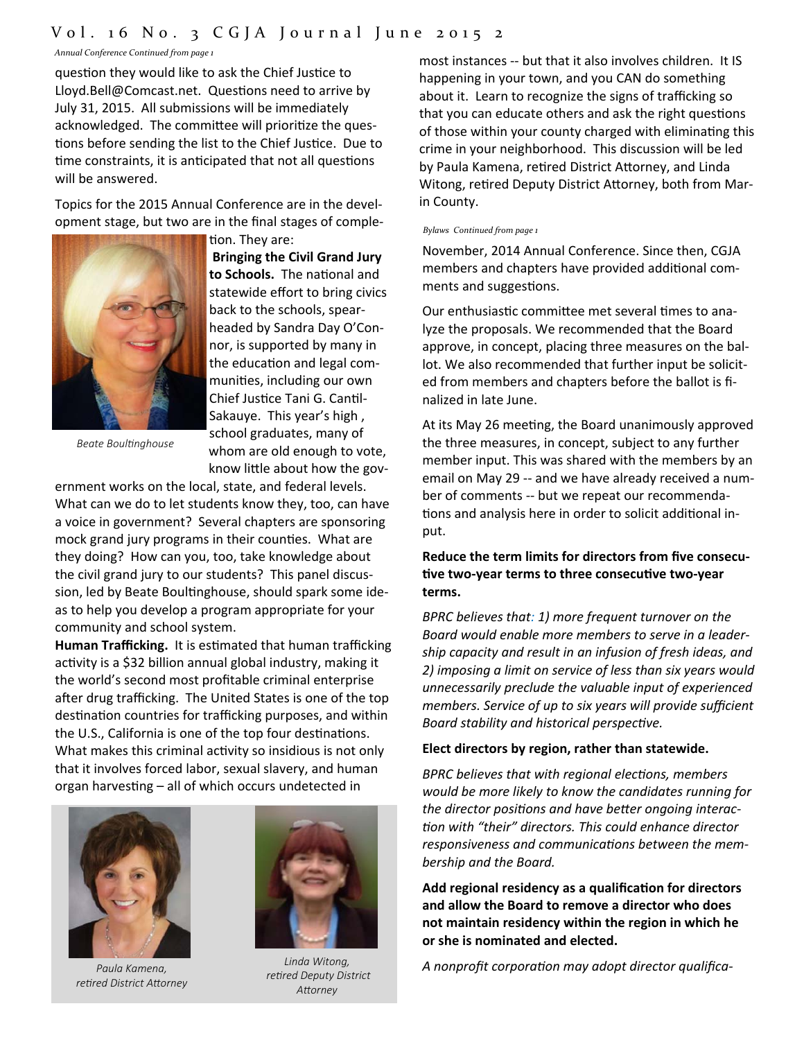### Vol. 1 6 No. 3 CGJA Journal June 2015 2

*Annual Conference Continued from page 1*

question they would like to ask the Chief Justice to Lloyd.Bell@Comcast.net. Questions need to arrive by July 31, 2015. All submissions will be immediately acknowledged. The committee will prioritize the questions before sending the list to the Chief Justice. Due to time constraints, it is anticipated that not all questions will be answered.

Topics for the 2015 Annual Conference are in the devel‐ opment stage, but two are in the final stages of comple‐

tion. They are:



**to Schools.** The naƟonal and statewide effort to bring civics back to the schools, spear‐ headed by Sandra Day O'Con‐ nor, is supported by many in the education and legal communiƟes, including our own Chief Justice Tani G. Cantil-Sakauye. This year's high , school graduates, many of whom are old enough to vote, know little about how the gov-

**Bringing the Civil Grand Jury**

*Beate BoulƟnghouse* 

ernment works on the local, state, and federal levels. What can we do to let students know they, too, can have a voice in government? Several chapters are sponsoring mock grand jury programs in their counties. What are they doing? How can you, too, take knowledge about the civil grand jury to our students? This panel discus‐ sion, led by Beate Boultinghouse, should spark some ideas to help you develop a program appropriate for your community and school system.

**Human Trafficking.** It is estimated that human trafficking activity is a \$32 billion annual global industry, making it the world's second most profitable criminal enterprise after drug trafficking. The United States is one of the top destination countries for trafficking purposes, and within the U.S., California is one of the top four destinations. What makes this criminal activity so insidious is not only that it involves forced labor, sexual slavery, and human organ harvesting - all of which occurs undetected in



*Paula Kamena, reƟred District AƩorney* 



*Linda Witong, reƟred Deputy District AƩorney* 

most instances -- but that it also involves children. It IS happening in your town, and you CAN do something about it. Learn to recognize the signs of trafficking so that you can educate others and ask the right questions of those within your county charged with eliminating this crime in your neighborhood. This discussion will be led by Paula Kamena, retired District Attorney, and Linda Witong, retired Deputy District Attorney, both from Marin County.

#### *Bylaws Continued from page 1*

November, 2014 Annual Conference. Since then, CGJA members and chapters have provided additional comments and suggestions.

Our enthusiastic committee met several times to analyze the proposals. We recommended that the Board approve, in concept, placing three measures on the bal‐ lot. We also recommended that further input be solicit‐ ed from members and chapters before the ballot is fi‐ nalized in late June.

At its May 26 meeting, the Board unanimously approved the three measures, in concept, subject to any further member input. This was shared with the members by an email on May 29 ‐‐ and we have already received a num‐ ber of comments ‐‐ but we repeat our recommenda‐ tions and analysis here in order to solicit additional input.

#### **Reduce the term limits for directors from five consecu-Ɵve two-year terms to three consecuƟve two-year terms.**

*BPRC believes that: 1) more frequent turnover on the Board would enable more members to serve in a leader‐ ship capacity and result in an infusion of fresh ideas, and 2) imposing a limit on service of less than six years would unnecessarily preclude the valuable input of experienced members. Service of up to six years will provide sufficient Board stability and historical perspecƟve.*

#### **Elect directors by region, rather than statewide.**

*BPRC believes that with regional elecƟons, members would be more likely to know the candidates running for the director posiƟons and have beƩer ongoing interac‐ Ɵon with "their" directors. This could enhance director responsiveness and communicaƟons between the mem‐ bership and the Board.*

**Add regional residency as a qualificaƟon for directors and allow the Board to remove a director who does not maintain residency within the region in which he or she is nominated and elected.**

*A nonprofit corporaƟon may adopt director qualifica‐*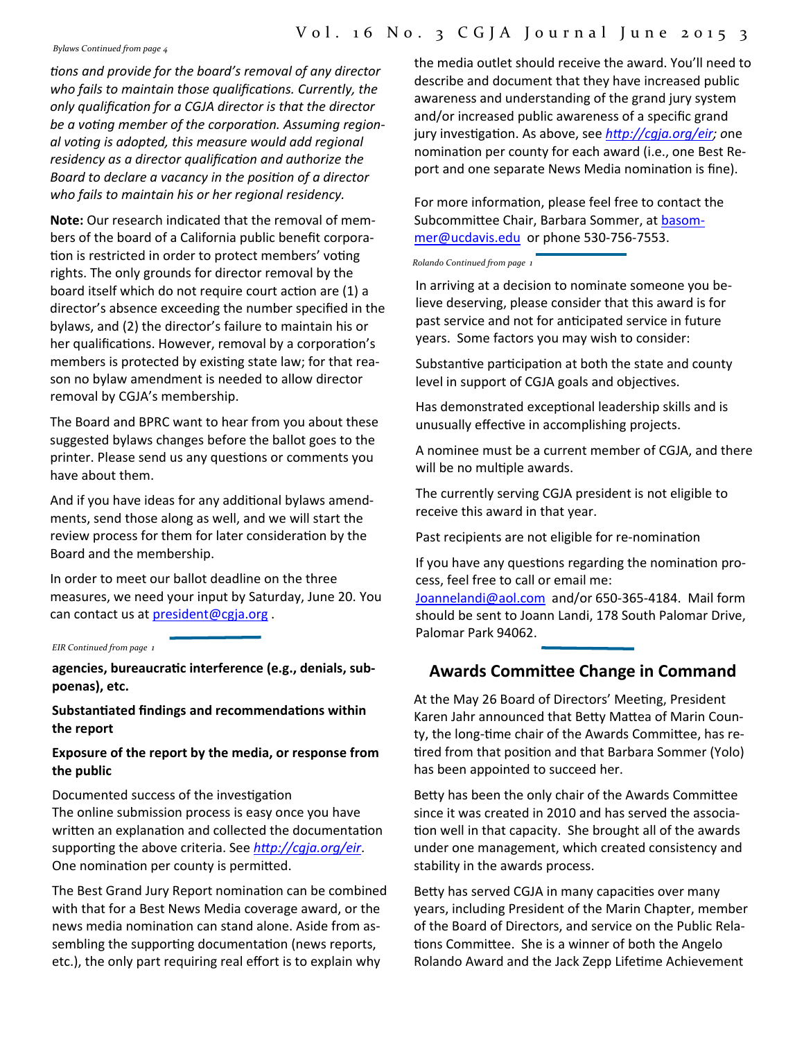### Vol. 16 No. 3 CGJA Journal June 2015 3

*Bylaws Continued from page 4*

*Ɵons and provide for the board's removal of any director who fails to maintain those qualificaƟons. Currently, the only qualificaƟon for a CGJA director is that the director be a voƟng member of the corporaƟon. Assuming region‐ al voƟng is adopted, this measure would add regional residency as a director qualificaƟon and authorize the Board to declare a vacancy in the posiƟon of a director who fails to maintain his or her regional residency.*

**Note:** Our research indicated that the removal of mem‐ bers of the board of a California public benefit corpora‐ tion is restricted in order to protect members' voting rights. The only grounds for director removal by the board itself which do not require court action are (1) a director's absence exceeding the number specified in the bylaws, and (2) the director's failure to maintain his or her qualifications. However, removal by a corporation's members is protected by existing state law; for that reason no bylaw amendment is needed to allow director removal by CGJA's membership.

The Board and BPRC want to hear from you about these suggested bylaws changes before the ballot goes to the printer. Please send us any questions or comments you have about them.

And if you have ideas for any additional bylaws amendments, send those along as well, and we will start the review process for them for later consideration by the Board and the membership.

In order to meet our ballot deadline on the three measures, we need your input by Saturday, June 20. You can contact us at president@cgja.org .

*EIR Continued from page 1*

**agencies, bureaucraƟc interference (e.g., denials, subpoenas), etc.**

**SubstanƟated findings and recommendaƟons within the report**

**Exposure of the report by the media, or response from the public**

Documented success of the investigation The online submission process is easy once you have written an explanation and collected the documentation supporting the above criteria. See *http://cgja.org/eir.* One nomination per county is permitted.

The Best Grand Jury Report nomination can be combined with that for a Best News Media coverage award, or the news media nomination can stand alone. Aside from assembling the supporting documentation (news reports, etc.), the only part requiring real effort is to explain why

the media outlet should receive the award. You'll need to describe and document that they have increased public awareness and understanding of the grand jury system and/or increased public awareness of a specific grand jury invesƟgaƟon. As above, see *hƩp://cgja.org/eir; o*ne nomination per county for each award (i.e., one Best Report and one separate News Media nomination is fine).

For more information, please feel free to contact the Subcommittee Chair, Barbara Sommer, at basommer@ucdavis.edu or phone 530‐756‐7553.

*Rolando Continued from page 1*

In arriving at a decision to nominate someone you be‐ lieve deserving, please consider that this award is for past service and not for anticipated service in future years. Some factors you may wish to consider:

Substantive participation at both the state and county level in support of CGJA goals and objectives.

Has demonstrated exceptional leadership skills and is unusually effective in accomplishing projects.

A nominee must be a current member of CGJA, and there will be no multiple awards.

The currently serving CGJA president is not eligible to receive this award in that year.

Past recipients are not eligible for re-nomination

If you have any questions regarding the nomination process, feel free to call or email me:

Joannelandi@aol.com and/or 650‐365‐4184. Mail form should be sent to Joann Landi, 178 South Palomar Drive, Palomar Park 94062.

## **Awards CommiƩee Change in Command**

At the May 26 Board of Directors' Meeting, President Karen Jahr announced that Betty Mattea of Marin County, the long-time chair of the Awards Committee, has retired from that position and that Barbara Sommer (Yolo) has been appointed to succeed her.

Betty has been the only chair of the Awards Committee since it was created in 2010 and has served the associa‐ tion well in that capacity. She brought all of the awards under one management, which created consistency and stability in the awards process.

Betty has served CGJA in many capacities over many years, including President of the Marin Chapter, member of the Board of Directors, and service on the Public Rela‐ tions Committee. She is a winner of both the Angelo Rolando Award and the Jack Zepp Lifetime Achievement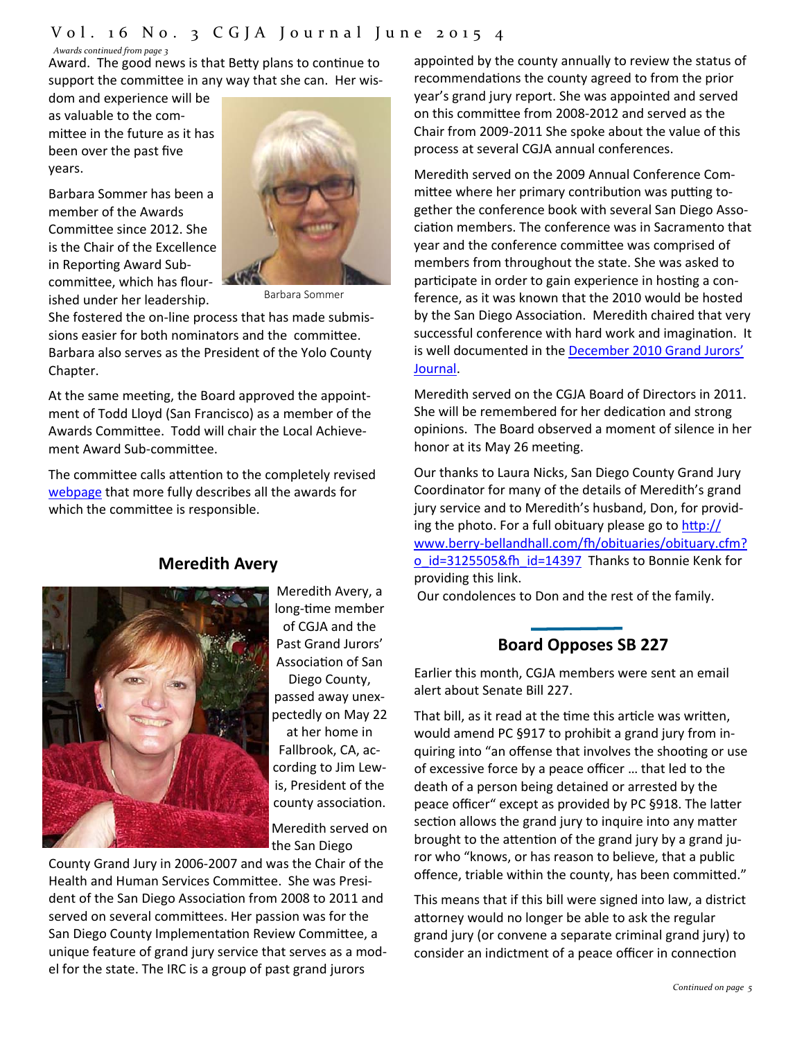### Vol. 16 No. 3 CGJA Journal June 2015 4

#### *Awards continued from page 3*

Award. The good news is that Betty plans to continue to support the committee in any way that she can. Her wis-

dom and experience will be as valuable to the com‐ mittee in the future as it has been over the past five years.

Barbara Sommer has been a member of the Awards Committee since 2012. She is the Chair of the Excellence in Reporting Award Subcommittee, which has flourished under her leadership.



Barbara Sommer

She fostered the on-line process that has made submissions easier for both nominators and the committee. Barbara also serves as the President of the Yolo County Chapter.

At the same meeting, the Board approved the appointment of Todd Lloyd (San Francisco) as a member of the Awards Committee. Todd will chair the Local Achievement Award Sub-committee.

The committee calls attention to the completely revised webpage that more fully describes all the awards for which the committee is responsible.

**Meredith Avery** 

Meredith Avery, a long-time member of CGJA and the Past Grand Jurors' AssociaƟon of San Diego County, passed away unex‐ pectedly on May 22 at her home in Fallbrook, CA, ac‐ cording to Jim Lew‐ is, President of the county association.

Meredith served on the San Diego

County Grand Jury in 2006‐2007 and was the Chair of the Health and Human Services Committee. She was President of the San Diego Association from 2008 to 2011 and served on several committees. Her passion was for the San Diego County Implementation Review Committee, a unique feature of grand jury service that serves as a mod‐ el for the state. The IRC is a group of past grand jurors

appointed by the county annually to review the status of recommendations the county agreed to from the prior year's grand jury report. She was appointed and served on this committee from 2008-2012 and served as the Chair from 2009‐2011 She spoke about the value of this process at several CGJA annual conferences.

Meredith served on the 2009 Annual Conference Com‐ mittee where her primary contribution was putting together the conference book with several San Diego Asso‐ ciation members. The conference was in Sacramento that year and the conference committee was comprised of members from throughout the state. She was asked to participate in order to gain experience in hosting a conference, as it was known that the 2010 would be hosted by the San Diego Association. Meredith chaired that very successful conference with hard work and imagination. It is well documented in the December 2010 Grand Jurors' Journal.

Meredith served on the CGJA Board of Directors in 2011. She will be remembered for her dedication and strong opinions. The Board observed a moment of silence in her honor at its May 26 meeting.

Our thanks to Laura Nicks, San Diego County Grand Jury Coordinator for many of the details of Meredith's grand jury service and to Meredith's husband, Don, for provid‐ ing the photo. For a full obituary please go to  $\frac{http://}{$ www.berry-bellandhall.com/fh/obituaries/obituary.cfm? o\_id=3125505&fh\_id=14397 Thanks to Bonnie Kenk for providing this link.

Our condolences to Don and the rest of the family.

## **Board Opposes SB 227**

Earlier this month, CGJA members were sent an email alert about Senate Bill 227.

That bill, as it read at the time this article was written, would amend PC §917 to prohibit a grand jury from in‐ quiring into "an offense that involves the shooting or use of excessive force by a peace officer … that led to the death of a person being detained or arrested by the peace officer" except as provided by PC §918. The latter section allows the grand jury to inquire into any matter brought to the attention of the grand jury by a grand juror who "knows, or has reason to believe, that a public offence, triable within the county, has been committed."

This means that if this bill were signed into law, a district attorney would no longer be able to ask the regular grand jury (or convene a separate criminal grand jury) to consider an indictment of a peace officer in connection

#### *Continued on page 5*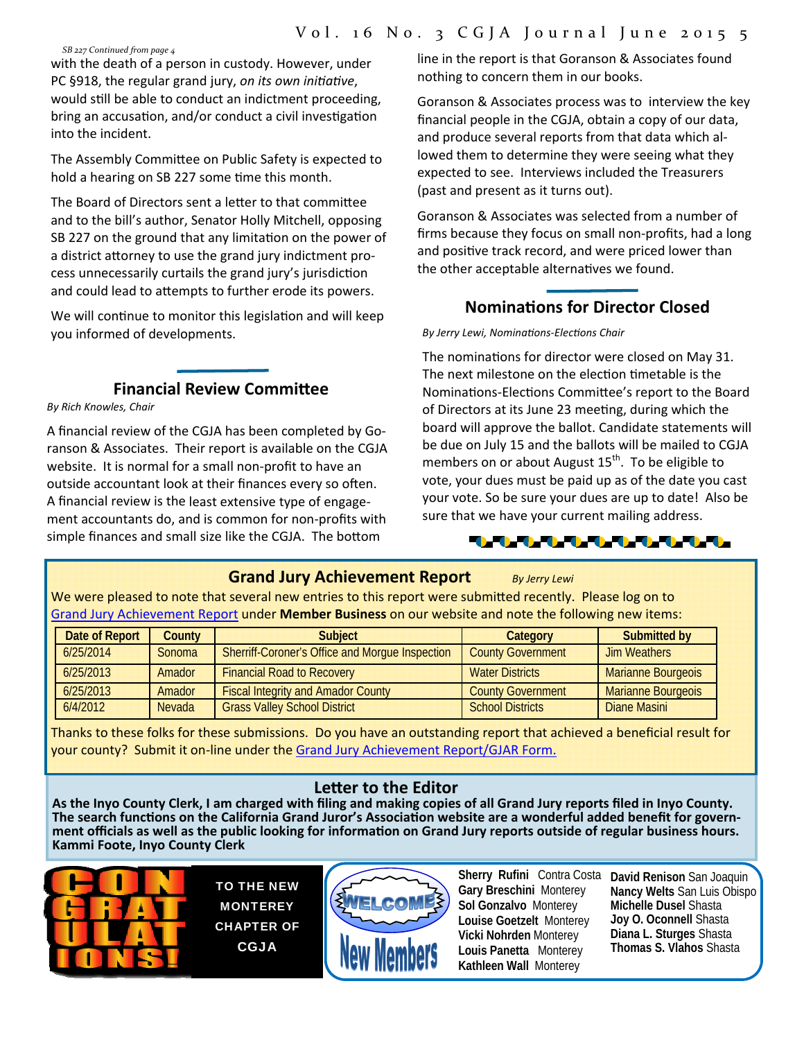*SB 227 Continued from page 4*

with the death of a person in custody. However, under PC §918, the regular grand jury, *on its own iniƟaƟve*, would still be able to conduct an indictment proceeding, bring an accusation, and/or conduct a civil investigation into the incident.

The Assembly Committee on Public Safety is expected to hold a hearing on SB 227 some time this month.

The Board of Directors sent a letter to that committee and to the bill's author, Senator Holly Mitchell, opposing SB 227 on the ground that any limitation on the power of a district attorney to use the grand jury indictment process unnecessarily curtails the grand jury's jurisdiction and could lead to attempts to further erode its powers.

We will continue to monitor this legislation and will keep you informed of developments.

### **Financial Review CommiƩee**

*By Rich Knowles, Chair*

A financial review of the CGJA has been completed by Go‐ ranson & Associates. Their report is available on the CGJA website. It is normal for a small non-profit to have an outside accountant look at their finances every so often. A financial review is the least extensive type of engage‐ ment accountants do, and is common for non‐profits with simple finances and small size like the CGJA. The bottom

line in the report is that Goranson & Associates found nothing to concern them in our books.

Goranson & Associates process was to interview the key financial people in the CGJA, obtain a copy of our data, and produce several reports from that data which al‐ lowed them to determine they were seeing what they expected to see. Interviews included the Treasurers (past and present as it turns out).

Goranson & Associates was selected from a number of firms because they focus on small non‐profits, had a long and positive track record, and were priced lower than the other acceptable alternatives we found.

### **NominaƟons for Director Closed**

*By Jerry Lewi, NominaƟons‐ElecƟons Chair*

The nominations for director were closed on May 31. The next milestone on the election timetable is the Nominations-Elections Committee's report to the Board of Directors at its June 23 meeting, during which the board will approve the ballot. Candidate statements will be due on July 15 and the ballots will be mailed to CGJA members on or about August 15<sup>th</sup>. To be eligible to vote, your dues must be paid up as of the date you cast your vote. So be sure your dues are up to date! Also be sure that we have your current mailing address.



### **Grand Jury Achievement Report** *By Jerry Lewi*

We were pleased to note that several new entries to this report were submitted recently. Please log on to Grand Jury Achievement Report under **Member Business** on our website and note the following new items:

| Date of Report | <b>County</b> | <b>Subject</b>                                         | Category                 | <b>Submitted by</b>       |
|----------------|---------------|--------------------------------------------------------|--------------------------|---------------------------|
| 6/25/2014      | Sonoma        | <b>Sherriff-Coroner's Office and Morque Inspection</b> | <b>County Government</b> | <b>Jim Weathers</b>       |
| 6/25/2013      | Amador        | <b>Financial Road to Recovery</b>                      | <b>Water Districts</b>   | Marianne Bourgeois        |
| 6/25/2013      | Amador        | <b>Fiscal Integrity and Amador County</b>              | <b>County Government</b> | <b>Marianne Bourgeois</b> |
| 6/4/2012       | Nevada        | <b>Grass Valley School District</b>                    | <b>School Districts</b>  | Diane Masini              |

Thanks to these folks for these submissions. Do you have an outstanding report that achieved a beneficial result for your county? Submit it on-line under the Grand Jury Achievement Report/GJAR Form.

Letter to the Editor<br>As the Inyo County Clerk, I am charged with filing and making copies of all Grand Jury reports filed in Inyo County. The search functions on the California Grand Juror's Association website are a wonderful added benefit for government officials as well as the public looking for information on Grand Jury reports outside of regular business hours. **Kammi Foote, Inyo County Clerk**



TO THE NEW MONTEREY CHAPTER OF CGJA



**Sherry Rufini** Contra Costa **David Renison** San Joaquin **Gary Breschini** Monterey **Sol Gonzalvo** Monterey **Louise Goetzelt** Monterey **Vicki Nohrden** Monterey **Louis Panetta** Monterey **Kathleen Wall** Monterey

**Nancy Welts** San Luis Obispo **Michelle Dusel** Shasta **Joy O. Oconnell** Shasta **Diana L. Sturges** Shasta **Thomas S. Vlahos** Shasta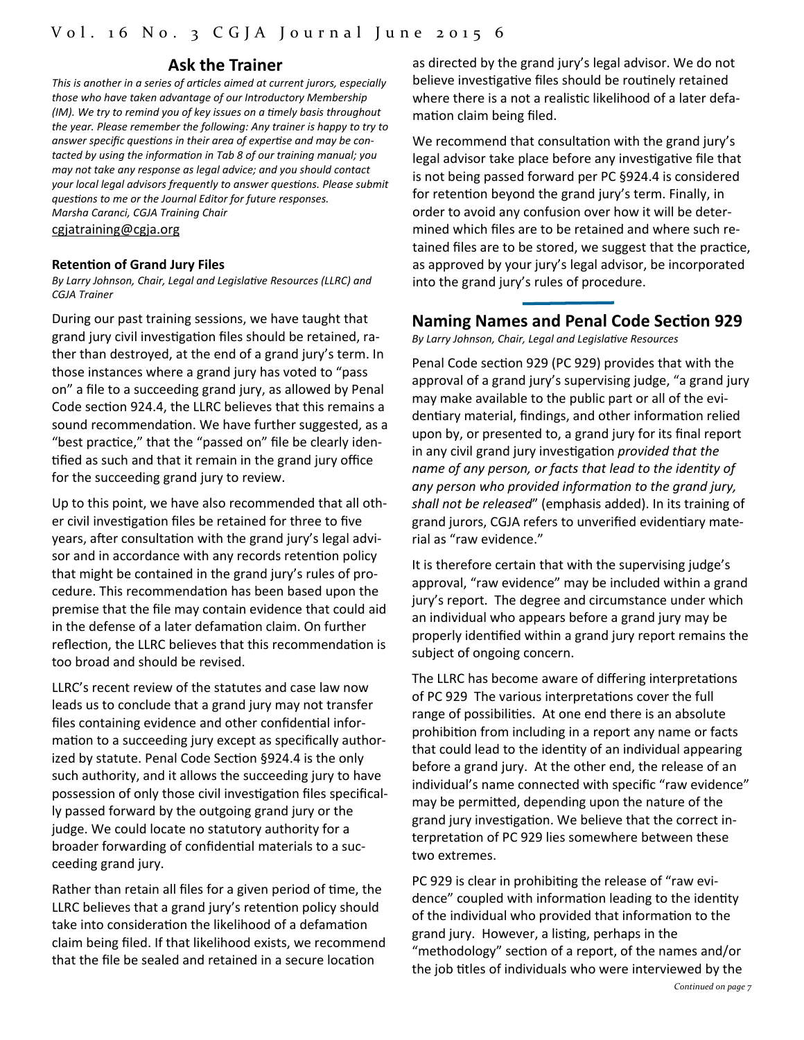### **Ask the Trainer**

*This is another in a series of arƟcles aimed at current jurors, especially those who have taken advantage of our Introductory Membership (IM). We try to remind you of key issues on a Ɵmely basis throughout the year. Please remember the following: Any trainer is happy to try to answer specific quesƟons in their area of experƟse and may be con‐ tacted by using the informaƟon in Tab 8 of our training manual; you may not take any response as legal advice; and you should contact your local legal advisors frequently to answer quesƟons. Please submit quesƟons to me or the Journal Editor for future responses. Marsha Caranci, CGJA Training Chair*

cgjatraining@cgja.org

#### **RetenƟon of Grand Jury Files**

*By Larry Johnson, Chair, Legal and LegislaƟve Resources (LLRC) and CGJA Trainer*

During our past training sessions, we have taught that grand jury civil investigation files should be retained, rather than destroyed, at the end of a grand jury's term. In those instances where a grand jury has voted to "pass on" a file to a succeeding grand jury, as allowed by Penal Code section 924.4, the LLRC believes that this remains a sound recommendation. We have further suggested, as a "best practice," that the "passed on" file be clearly identified as such and that it remain in the grand jury office for the succeeding grand jury to review.

Up to this point, we have also recommended that all oth‐ er civil investigation files be retained for three to five years, after consultation with the grand jury's legal advisor and in accordance with any records retention policy that might be contained in the grand jury's rules of pro‐ cedure. This recommendation has been based upon the premise that the file may contain evidence that could aid in the defense of a later defamation claim. On further reflection, the LLRC believes that this recommendation is too broad and should be revised.

LLRC's recent review of the statutes and case law now leads us to conclude that a grand jury may not transfer files containing evidence and other confidential information to a succeeding jury except as specifically authorized by statute. Penal Code Section §924.4 is the only such authority, and it allows the succeeding jury to have possession of only those civil investigation files specifically passed forward by the outgoing grand jury or the judge. We could locate no statutory authority for a broader forwarding of confidential materials to a succeeding grand jury.

Rather than retain all files for a given period of time, the LLRC believes that a grand jury's retention policy should take into consideration the likelihood of a defamation claim being filed. If that likelihood exists, we recommend that the file be sealed and retained in a secure location

as directed by the grand jury's legal advisor. We do not believe investigative files should be routinely retained where there is a not a realistic likelihood of a later defamation claim being filed.

We recommend that consultation with the grand jury's legal advisor take place before any investigative file that is not being passed forward per PC §924.4 is considered for retention beyond the grand jury's term. Finally, in order to avoid any confusion over how it will be deter‐ mined which files are to be retained and where such re‐ tained files are to be stored, we suggest that the practice, as approved by your jury's legal advisor, be incorporated into the grand jury's rules of procedure.

### **Naming Names and Penal Code SecƟon 929**

*By Larry Johnson, Chair, Legal and LegislaƟve Resources*

Penal Code section 929 (PC 929) provides that with the approval of a grand jury's supervising judge, "a grand jury may make available to the public part or all of the evi‐ dentiary material, findings, and other information relied upon by, or presented to, a grand jury for its final report in any civil grand jury invesƟgaƟon *provided that the name of any person, or facts that lead to the idenƟty of any person who provided informaƟon to the grand jury, shall not be released*" (emphasis added). In its training of grand jurors, CGJA refers to unverified evidentiary material as "raw evidence."

It is therefore certain that with the supervising judge's approval, "raw evidence" may be included within a grand jury's report. The degree and circumstance under which an individual who appears before a grand jury may be properly identified within a grand jury report remains the subject of ongoing concern.

The LLRC has become aware of differing interpretations of PC 929 The various interpretations cover the full range of possibilities. At one end there is an absolute prohibition from including in a report any name or facts that could lead to the identity of an individual appearing before a grand jury. At the other end, the release of an individual's name connected with specific "raw evidence" may be permitted, depending upon the nature of the grand jury investigation. We believe that the correct interpretation of PC 929 lies somewhere between these two extremes.

PC 929 is clear in prohibiting the release of "raw evidence" coupled with information leading to the identity of the individual who provided that information to the grand jury. However, a listing, perhaps in the "methodology" section of a report, of the names and/or the job titles of individuals who were interviewed by the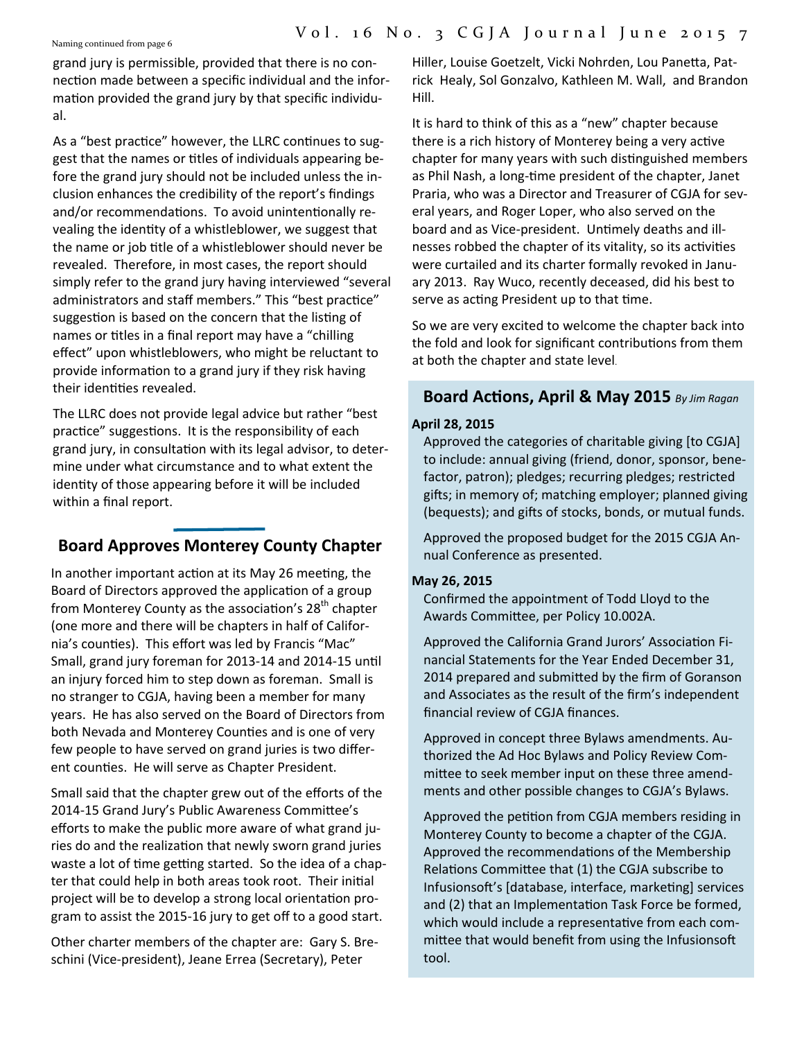Naming continued from page 6

grand jury is permissible, provided that there is no con‐ nection made between a specific individual and the information provided the grand jury by that specific individual.

As a "best practice" however, the LLRC continues to suggest that the names or titles of individuals appearing before the grand jury should not be included unless the in‐ clusion enhances the credibility of the report's findings and/or recommendations. To avoid unintentionally revealing the identity of a whistleblower, we suggest that the name or job title of a whistleblower should never be revealed. Therefore, in most cases, the report should simply refer to the grand jury having interviewed "several administrators and staff members." This "best practice" suggestion is based on the concern that the listing of names or titles in a final report may have a "chilling" effect" upon whistleblowers, who might be reluctant to provide information to a grand jury if they risk having their identities revealed.

The LLRC does not provide legal advice but rather "best practice" suggestions. It is the responsibility of each grand jury, in consultation with its legal advisor, to determine under what circumstance and to what extent the identity of those appearing before it will be included within a final report.

## **Board Approves Monterey County Chapter**

In another important action at its May 26 meeting, the Board of Directors approved the application of a group from Monterey County as the association's 28<sup>th</sup> chapter (one more and there will be chapters in half of Califor‐ nia's counties). This effort was led by Francis "Mac" Small, grand jury foreman for 2013-14 and 2014-15 until an injury forced him to step down as foreman. Small is no stranger to CGJA, having been a member for many years. He has also served on the Board of Directors from both Nevada and Monterey Counties and is one of very few people to have served on grand juries is two differ‐ ent counties. He will serve as Chapter President.

Small said that the chapter grew out of the efforts of the 2014-15 Grand Jury's Public Awareness Committee's efforts to make the public more aware of what grand ju‐ ries do and the realization that newly sworn grand juries waste a lot of time getting started. So the idea of a chapter that could help in both areas took root. Their initial project will be to develop a strong local orientation program to assist the 2015‐16 jury to get off to a good start.

Other charter members of the chapter are: Gary S. Bre‐ schini (Vice‐president), Jeane Errea (Secretary), Peter

Hiller, Louise Goetzelt, Vicki Nohrden, Lou Panetta, Patrick Healy, Sol Gonzalvo, Kathleen M. Wall, and Brandon Hill.

It is hard to think of this as a "new" chapter because there is a rich history of Monterey being a very active chapter for many years with such distinguished members as Phil Nash, a long‐Ɵme president of the chapter, Janet Praria, who was a Director and Treasurer of CGJA for sev‐ eral years, and Roger Loper, who also served on the board and as Vice-president. Untimely deaths and illnesses robbed the chapter of its vitality, so its activities were curtailed and its charter formally revoked in Janu‐ ary 2013. Ray Wuco, recently deceased, did his best to serve as acting President up to that time.

So we are very excited to welcome the chapter back into the fold and look for significant contributions from them at both the chapter and state level.

### **Board AcƟons, April & May 2015** *By Jim Ragan*

#### **April 28, 2015**

Approved the categories of charitable giving [to CGJA] to include: annual giving (friend, donor, sponsor, bene‐ factor, patron); pledges; recurring pledges; restricted gifts; in memory of; matching employer; planned giving (bequests); and gifts of stocks, bonds, or mutual funds.

Approved the proposed budget for the 2015 CGJA An‐ nual Conference as presented.

#### **May 26, 2015**

Confirmed the appointment of Todd Lloyd to the Awards Committee, per Policy 10.002A.

Approved the California Grand Jurors' Association Financial Statements for the Year Ended December 31, 2014 prepared and submitted by the firm of Goranson and Associates as the result of the firm's independent financial review of CGJA finances.

Approved in concept three Bylaws amendments. Au‐ thorized the Ad Hoc Bylaws and Policy Review Com‐ mittee to seek member input on these three amendments and other possible changes to CGJA's Bylaws.

Approved the petition from CGJA members residing in Monterey County to become a chapter of the CGJA. Approved the recommendations of the Membership Relations Committee that (1) the CGJA subscribe to Infusionsoft's [database, interface, marketing] services and (2) that an Implementation Task Force be formed, which would include a representative from each committee that would benefit from using the Infusionsoft tool.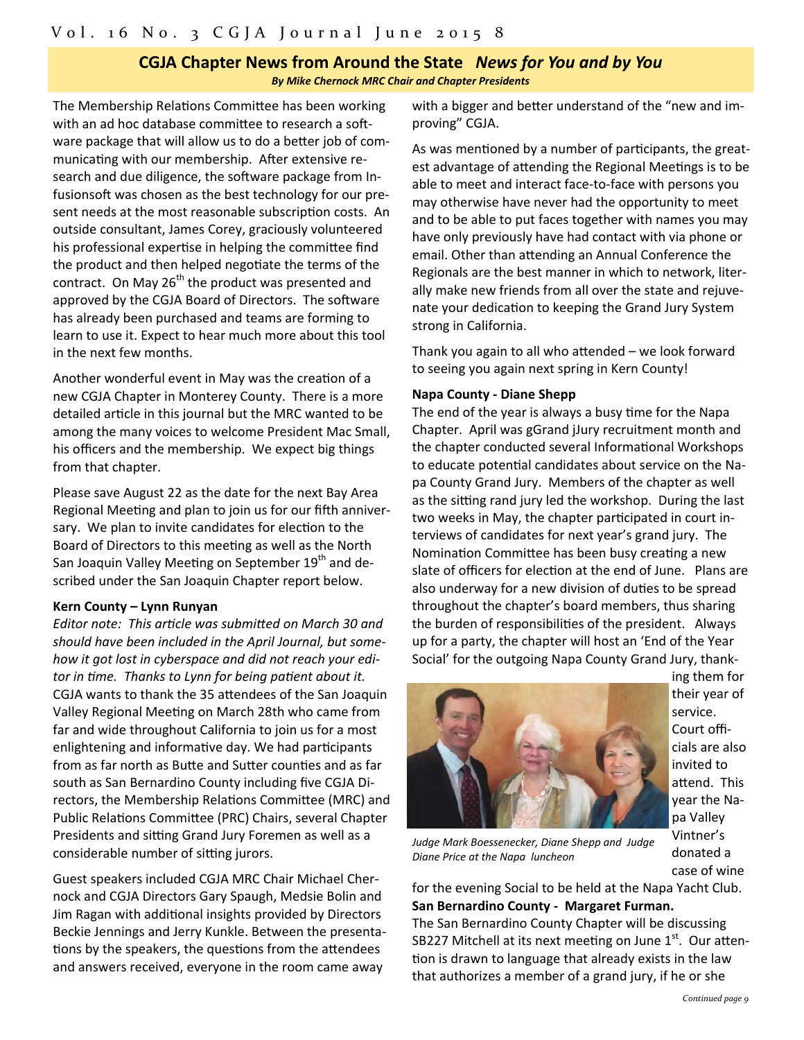#### **CGJA Chapter News from Around the State** *News for You and by You By Mike Chernock MRC Chair and Chapter Presidents*

The Membership Relations Committee has been working with an ad hoc database committee to research a software package that will allow us to do a better job of communicating with our membership. After extensive research and due diligence, the software package from Infusionsoft was chosen as the best technology for our present needs at the most reasonable subscription costs. An outside consultant, James Corey, graciously volunteered his professional expertise in helping the committee find the product and then helped negotiate the terms of the contract. On May  $26<sup>th</sup>$  the product was presented and approved by the CGJA Board of Directors. The software has already been purchased and teams are forming to learn to use it. Expect to hear much more about this tool in the next few months.

Another wonderful event in May was the creation of a new CGJA Chapter in Monterey County. There is a more detailed article in this journal but the MRC wanted to be among the many voices to welcome President Mac Small, his officers and the membership. We expect big things from that chapter.

Please save August 22 as the date for the next Bay Area Regional Meeting and plan to join us for our fifth anniversary. We plan to invite candidates for election to the Board of Directors to this meeting as well as the North San Joaquin Valley Meeting on September 19<sup>th</sup> and described under the San Joaquin Chapter report below.

#### **Kern County – Lynn Runyan**

*Editor note: This arƟcle was submiƩed on March 30 and should have been included in the April Journal, but some‐ how it got lost in cyberspace and did not reach your edi‐ tor in Ɵme. Thanks to Lynn for being paƟent about it.* CGJA wants to thank the 35 attendees of the San Joaquin Valley Regional Meeting on March 28th who came from far and wide throughout California to join us for a most enlightening and informative day. We had participants from as far north as Butte and Sutter counties and as far south as San Bernardino County including five CGJA Di‐ rectors, the Membership Relations Committee (MRC) and Public Relations Committee (PRC) Chairs, several Chapter Presidents and sitting Grand Jury Foremen as well as a considerable number of sitting jurors.

Guest speakers included CGJA MRC Chair Michael Cher‐ nock and CGJA Directors Gary Spaugh, Medsie Bolin and Jim Ragan with additional insights provided by Directors Beckie Jennings and Jerry Kunkle. Between the presenta‐ tions by the speakers, the questions from the attendees and answers received, everyone in the room came away

with a bigger and better understand of the "new and improving" CGJA.

As was mentioned by a number of participants, the greatest advantage of attending the Regional Meetings is to be able to meet and interact face‐to‐face with persons you may otherwise have never had the opportunity to meet and to be able to put faces together with names you may have only previously have had contact with via phone or email. Other than attending an Annual Conference the Regionals are the best manner in which to network, liter‐ ally make new friends from all over the state and rejuve‐ nate your dedication to keeping the Grand Jury System strong in California.

Thank you again to all who attended  $-$  we look forward to seeing you again next spring in Kern County!

#### **Napa County - Diane Shepp**

The end of the year is always a busy time for the Napa Chapter. April was gGrand jJury recruitment month and the chapter conducted several Informational Workshops to educate potential candidates about service on the Napa County Grand Jury. Members of the chapter as well as the sitting rand jury led the workshop. During the last two weeks in May, the chapter participated in court interviews of candidates for next year's grand jury. The Nomination Committee has been busy creating a new slate of officers for election at the end of June. Plans are also underway for a new division of duties to be spread throughout the chapter's board members, thus sharing the burden of responsibilities of the president. Always up for a party, the chapter will host an 'End of the Year Social' for the outgoing Napa County Grand Jury, thank‐



ing them for their year of service. Court offi‐ cials are also invited to attend. This year the Na‐ pa Valley Vintner's donated a case of wine

*Judge Mark Boessenecker, Diane Shepp and Judge Diane Price at the Napa luncheon*

for the evening Social to be held at the Napa Yacht Club. **San Bernardino County - Margaret Furman.** The San Bernardino County Chapter will be discussing SB227 Mitchell at its next meeting on June  $1<sup>st</sup>$ . Our attention is drawn to language that already exists in the law that authorizes a member of a grand jury, if he or she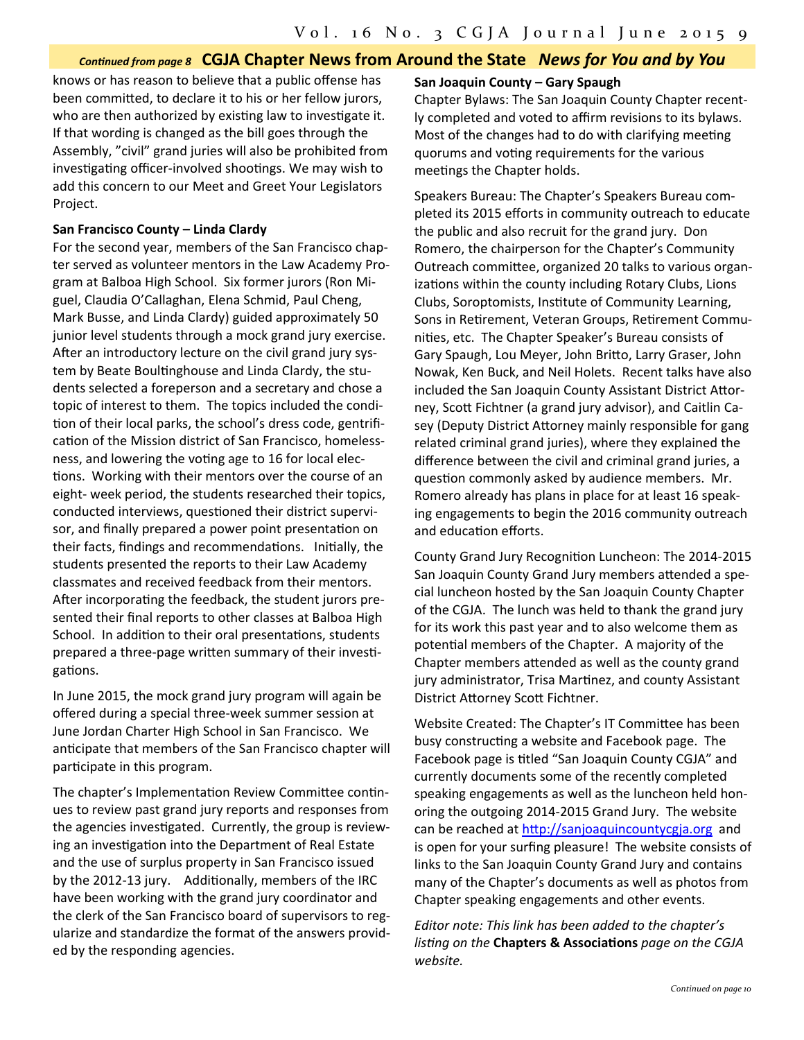#### Continued from page 8 CGJA Chapter News from Around the State News for You and by You

knows or has reason to believe that a public offense has been committed, to declare it to his or her fellow jurors, who are then authorized by existing law to investigate it. If that wording is changed as the bill goes through the Assembly, "civil" grand juries will also be prohibited from investigating officer-involved shootings. We may wish to add this concern to our Meet and Greet Your Legislators Project.

#### **San Francisco County – Linda Clardy**

For the second year, members of the San Francisco chap‐ ter served as volunteer mentors in the Law Academy Pro‐ gram at Balboa High School. Six former jurors (Ron Mi‐ guel, Claudia O'Callaghan, Elena Schmid, Paul Cheng, Mark Busse, and Linda Clardy) guided approximately 50 junior level students through a mock grand jury exercise. After an introductory lecture on the civil grand jury system by Beate Boultinghouse and Linda Clardy, the students selected a foreperson and a secretary and chose a topic of interest to them. The topics included the condi‐ tion of their local parks, the school's dress code, gentrification of the Mission district of San Francisco, homelessness, and lowering the voting age to 16 for local elections. Working with their mentors over the course of an eight‐ week period, the students researched their topics, conducted interviews, questioned their district supervisor, and finally prepared a power point presentation on their facts, findings and recommendations. Initially, the students presented the reports to their Law Academy classmates and received feedback from their mentors. After incorporating the feedback, the student jurors presented their final reports to other classes at Balboa High School. In addition to their oral presentations, students prepared a three-page written summary of their investigations.

In June 2015, the mock grand jury program will again be offered during a special three‐week summer session at June Jordan Charter High School in San Francisco. We anticipate that members of the San Francisco chapter will participate in this program.

The chapter's Implementation Review Committee continues to review past grand jury reports and responses from the agencies investigated. Currently, the group is reviewing an investigation into the Department of Real Estate and the use of surplus property in San Francisco issued by the 2012-13 jury. Additionally, members of the IRC have been working with the grand jury coordinator and the clerk of the San Francisco board of supervisors to reg‐ ularize and standardize the format of the answers provid‐ ed by the responding agencies.

#### **San Joaquin County – Gary Spaugh**

Chapter Bylaws: The San Joaquin County Chapter recent‐ ly completed and voted to affirm revisions to its bylaws. Most of the changes had to do with clarifying meeting quorums and voting requirements for the various meetings the Chapter holds.

Speakers Bureau: The Chapter's Speakers Bureau com‐ pleted its 2015 efforts in community outreach to educate the public and also recruit for the grand jury. Don Romero, the chairperson for the Chapter's Community Outreach committee, organized 20 talks to various organizations within the county including Rotary Clubs, Lions Clubs, Soroptomists, InsƟtute of Community Learning, Sons in Retirement, Veteran Groups, Retirement Communities, etc. The Chapter Speaker's Bureau consists of Gary Spaugh, Lou Meyer, John Britto, Larry Graser, John Nowak, Ken Buck, and Neil Holets. Recent talks have also included the San Joaquin County Assistant District Attorney, Scott Fichtner (a grand jury advisor), and Caitlin Casey (Deputy District Attorney mainly responsible for gang related criminal grand juries), where they explained the difference between the civil and criminal grand juries, a question commonly asked by audience members. Mr. Romero already has plans in place for at least 16 speak‐ ing engagements to begin the 2016 community outreach and education efforts.

County Grand Jury Recognition Luncheon: The 2014-2015 San Joaquin County Grand Jury members attended a special luncheon hosted by the San Joaquin County Chapter of the CGJA. The lunch was held to thank the grand jury for its work this past year and to also welcome them as potential members of the Chapter. A majority of the Chapter members attended as well as the county grand jury administrator, Trisa Martinez, and county Assistant District Attorney Scott Fichtner.

Website Created: The Chapter's IT Committee has been busy constructing a website and Facebook page. The Facebook page is titled "San Joaquin County CGJA" and currently documents some of the recently completed speaking engagements as well as the luncheon held hon‐ oring the outgoing 2014‐2015 Grand Jury. The website can be reached at http://sanjoaquincountycgja.org and is open for your surfing pleasure! The website consists of links to the San Joaquin County Grand Jury and contains many of the Chapter's documents as well as photos from Chapter speaking engagements and other events.

*Editor note: This link has been added to the chapter's lisƟng on the* **Chapters & AssociaƟons** *page on the CGJA website.*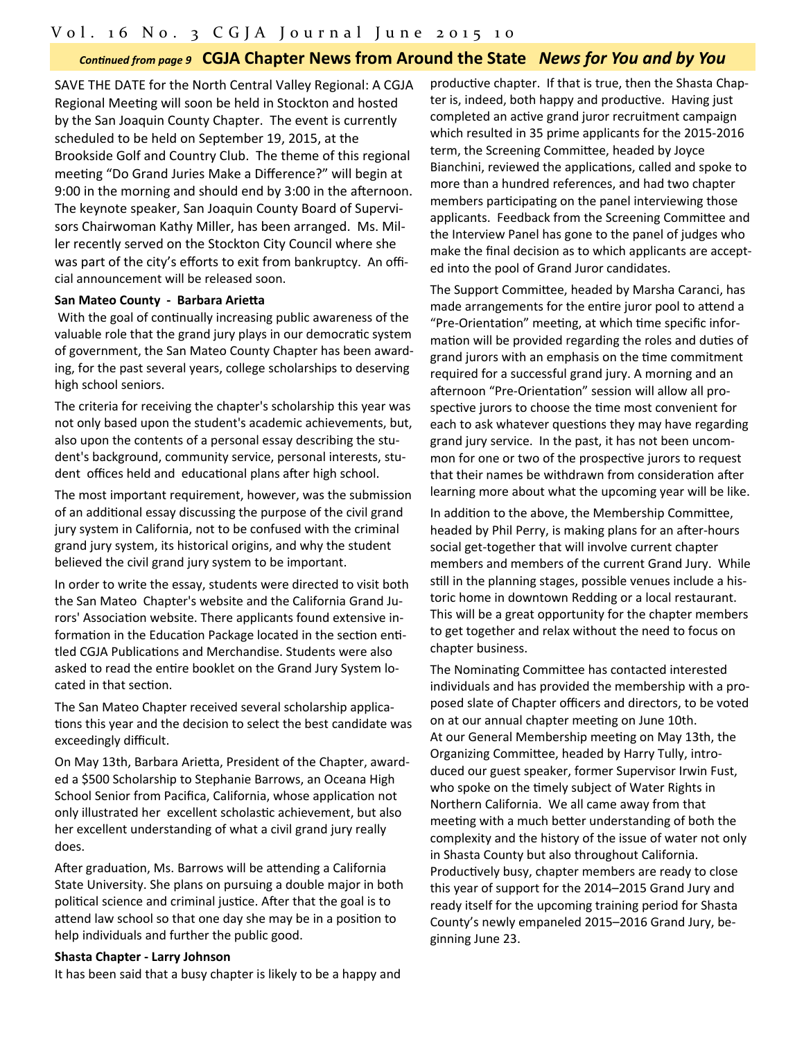### Continued from page 9 CGJA Chapter News from Around the State News for You and by You

SAVE THE DATE for the North Central Valley Regional: A CGJA Regional Meeting will soon be held in Stockton and hosted by the San Joaquin County Chapter. The event is currently scheduled to be held on September 19, 2015, at the Brookside Golf and Country Club. The theme of this regional meeting "Do Grand Juries Make a Difference?" will begin at 9:00 in the morning and should end by 3:00 in the afternoon. The keynote speaker, San Joaquin County Board of Supervi‐ sors Chairwoman Kathy Miller, has been arranged. Ms. Mil‐ ler recently served on the Stockton City Council where she was part of the city's efforts to exit from bankruptcy. An official announcement will be released soon.

#### **San Mateo County - Barbara ArieƩa**

With the goal of continually increasing public awareness of the valuable role that the grand jury plays in our democratic system of government, the San Mateo County Chapter has been award‐ ing, for the past several years, college scholarships to deserving high school seniors.

The criteria for receiving the chapter's scholarship this year was not only based upon the student's academic achievements, but, also upon the contents of a personal essay describing the student's background, community service, personal interests, stu‐ dent offices held and educational plans after high school.

The most important requirement, however, was the submission of an additional essay discussing the purpose of the civil grand jury system in California, not to be confused with the criminal grand jury system, its historical origins, and why the student believed the civil grand jury system to be important.

In order to write the essay, students were directed to visit both the San Mateo Chapter's website and the California Grand Ju‐ rors' Association website. There applicants found extensive information in the Education Package located in the section entitled CGJA Publications and Merchandise. Students were also asked to read the entire booklet on the Grand Jury System located in that section.

The San Mateo Chapter received several scholarship applica‐ tions this year and the decision to select the best candidate was exceedingly difficult.

On May 13th, Barbara Arietta, President of the Chapter, awarded a \$500 Scholarship to Stephanie Barrows, an Oceana High School Senior from Pacifica, California, whose application not only illustrated her excellent scholastic achievement, but also her excellent understanding of what a civil grand jury really does.

After graduation, Ms. Barrows will be attending a California State University. She plans on pursuing a double major in both political science and criminal justice. After that the goal is to attend law school so that one day she may be in a position to help individuals and further the public good.

#### **Shasta Chapter - Larry Johnson**

It has been said that a busy chapter is likely to be a happy and

productive chapter. If that is true, then the Shasta Chapter is, indeed, both happy and productive. Having just completed an active grand juror recruitment campaign which resulted in 35 prime applicants for the 2015‐2016 term, the Screening Committee, headed by Joyce Bianchini, reviewed the applications, called and spoke to more than a hundred references, and had two chapter members participating on the panel interviewing those applicants. Feedback from the Screening Committee and the Interview Panel has gone to the panel of judges who make the final decision as to which applicants are accept‐ ed into the pool of Grand Juror candidates.

The Support Committee, headed by Marsha Caranci, has made arrangements for the entire juror pool to attend a "Pre-Orientation" meeting, at which time specific information will be provided regarding the roles and duties of grand jurors with an emphasis on the time commitment required for a successful grand jury. A morning and an afternoon "Pre-Orientation" session will allow all prospective jurors to choose the time most convenient for each to ask whatever questions they may have regarding grand jury service. In the past, it has not been uncom‐ mon for one or two of the prospective jurors to request that their names be withdrawn from consideration after learning more about what the upcoming year will be like.

In addition to the above, the Membership Committee, headed by Phil Perry, is making plans for an after-hours social get-together that will involve current chapter members and members of the current Grand Jury. While still in the planning stages, possible venues include a historic home in downtown Redding or a local restaurant. This will be a great opportunity for the chapter members to get together and relax without the need to focus on chapter business.

The Nominating Committee has contacted interested individuals and has provided the membership with a pro‐ posed slate of Chapter officers and directors, to be voted on at our annual chapter meeting on June 10th. At our General Membership meeting on May 13th, the Organizing Committee, headed by Harry Tully, introduced our guest speaker, former Supervisor Irwin Fust, who spoke on the timely subject of Water Rights in Northern California. We all came away from that meeting with a much better understanding of both the complexity and the history of the issue of water not only in Shasta County but also throughout California. Productively busy, chapter members are ready to close this year of support for the 2014–2015 Grand Jury and ready itself for the upcoming training period for Shasta County's newly empaneled 2015–2016 Grand Jury, be‐ ginning June 23.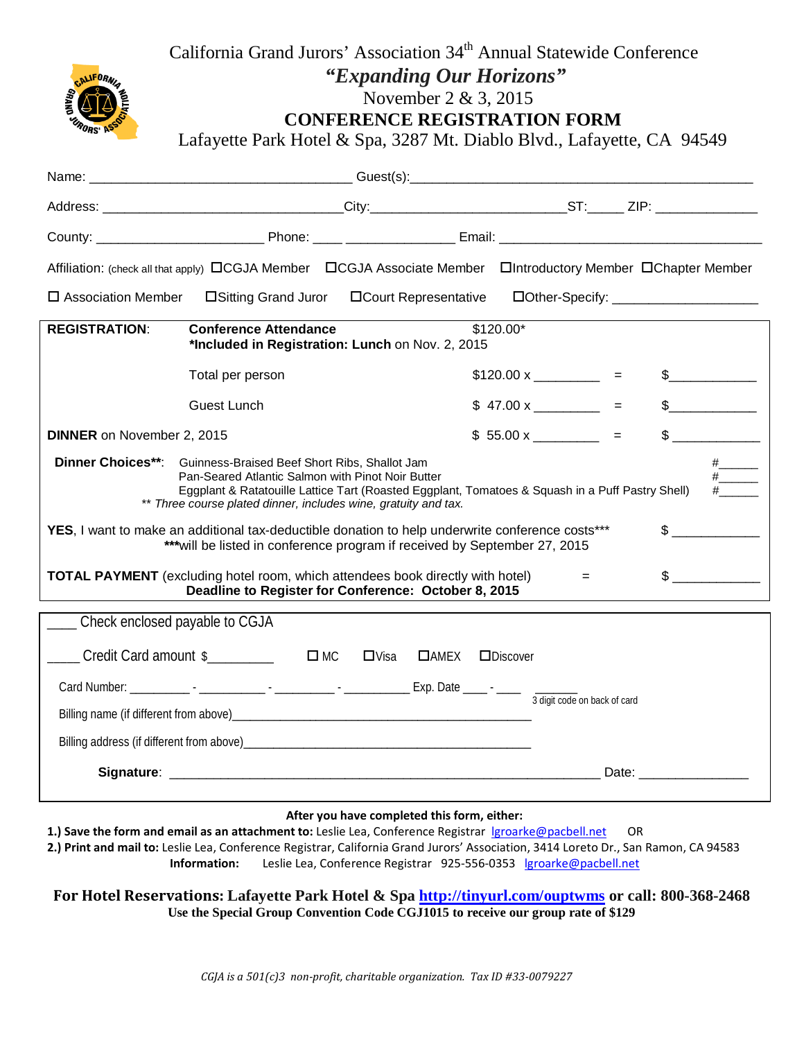

California Grand Jurors' Association 34<sup>th</sup> Annual Statewide Conference

*"Expanding Our Horizons"*

November 2 & 3, 2015

Lafayette Park Hotel & Spa, 3287 Mt. Diablo Blvd., Lafayette, CA 94549

| Affiliation: (check all that apply) <b>CCGJA Member</b> CCGJA Associate Member Clintroductory Member CChapter Member                                                                                                                                                                                                |                                                          |             |                              |                                         |  |                     |  |  |  |
|---------------------------------------------------------------------------------------------------------------------------------------------------------------------------------------------------------------------------------------------------------------------------------------------------------------------|----------------------------------------------------------|-------------|------------------------------|-----------------------------------------|--|---------------------|--|--|--|
| $\square$ Association Member                                                                                                                                                                                                                                                                                        | □Sitting Grand Juror                                     |             | <b>OCourt Representative</b> | DOther-Specify: _______________________ |  |                     |  |  |  |
| \$120.00*<br><b>REGISTRATION:</b><br><b>Conference Attendance</b><br>*Included in Registration: Lunch on Nov. 2, 2015                                                                                                                                                                                               |                                                          |             |                              |                                         |  |                     |  |  |  |
|                                                                                                                                                                                                                                                                                                                     | Total per person                                         |             |                              | $$120.00 \times \_$ =                   |  | $\frac{1}{2}$       |  |  |  |
|                                                                                                                                                                                                                                                                                                                     | <b>Guest Lunch</b>                                       |             |                              | $$47.00 x$ =                            |  | $\frac{1}{2}$       |  |  |  |
| <b>DINNER</b> on November 2, 2015                                                                                                                                                                                                                                                                                   |                                                          |             |                              | $$55.00 x$ =                            |  | $\frac{1}{2}$       |  |  |  |
| <b>Dinner Choices**:</b><br>Guinness-Braised Beef Short Ribs, Shallot Jam<br>Pan-Seared Atlantic Salmon with Pinot Noir Butter<br>$\frac{\#$<br>Eggplant & Ratatouille Lattice Tart (Roasted Eggplant, Tomatoes & Squash in a Puff Pastry Shell)<br>** Three course plated dinner, includes wine, gratuity and tax. |                                                          |             |                              |                                         |  |                     |  |  |  |
| YES, I want to make an additional tax-deductible donation to help underwrite conference costs***<br>*** will be listed in conference program if received by September 27, 2015                                                                                                                                      |                                                          |             |                              |                                         |  |                     |  |  |  |
| <b>TOTAL PAYMENT</b> (excluding hotel room, which attendees book directly with hotel)<br>$=$<br>Deadline to Register for Conference: October 8, 2015                                                                                                                                                                |                                                          |             |                              |                                         |  | $\sim$              |  |  |  |
| ____ Check enclosed payable to CGJA                                                                                                                                                                                                                                                                                 |                                                          |             |                              |                                         |  |                     |  |  |  |
|                                                                                                                                                                                                                                                                                                                     | Credit Card amount $\frac{1}{2}$ $\Box$ $\Box$ $\Box$ MC | $\Box$ Visa | $\Box$ AMEX                  | $\Box$ Discover                         |  |                     |  |  |  |
|                                                                                                                                                                                                                                                                                                                     |                                                          |             |                              |                                         |  |                     |  |  |  |
|                                                                                                                                                                                                                                                                                                                     |                                                          |             |                              |                                         |  |                     |  |  |  |
|                                                                                                                                                                                                                                                                                                                     |                                                          |             |                              |                                         |  |                     |  |  |  |
|                                                                                                                                                                                                                                                                                                                     |                                                          |             |                              |                                         |  | Date: _____________ |  |  |  |

#### **After you have completed this form, either:**

**1.) Save the form and email as an attachment to:** Leslie Lea, Conference Registrar [lgroarke@pacbell.net](mailto:lgroarke@pacbell.net) OR **2.) Print and mail to:** Leslie Lea, Conference Registrar, California Grand Jurors' Association, 3414 Loreto Dr., San Ramon, CA 94583 **Information:** Leslie Lea, Conference Registrar 925-556-0353 [lgroarke@pacbell.net](mailto:lgroarke@pacbell.net)

**For Hotel Reservations: Lafayette Park Hotel & Spa<http://tinyurl.com/ouptwms> or call: 800-368-2468 Use the Special Group Convention Code CGJ1015 to receive our group rate of \$129**